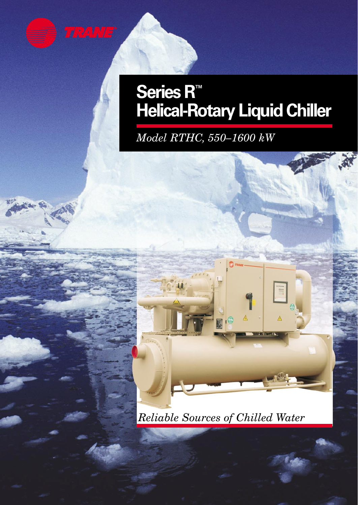

### **Series R™ Helical-Rotary Liquid Chiller**

*Model RTHC, 550–1600 kW*



*Reliable Sources of Chilled Water*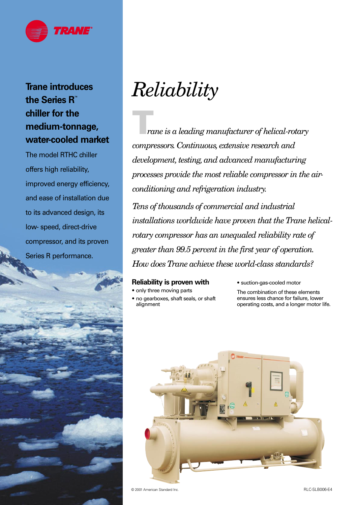

### **Trane introduces the Series R™ chiller for the medium-tonnage, water-cooled market**

The model RTHC chiller offers high reliability, improved energy efficiency, and ease of installation due to its advanced design, its low- speed, direct-drive compressor, and its proven Series R performance.



# *Reliability*

**T***rane is a leading manufacturer of helical-rotary compressors. Continuous, extensive research and development, testing, and advanced manufacturing processes provide the most reliable compressor in the airconditioning and refrigeration industry. Tens of thousands of commercial and industrial installations worldwide have proven that the Trane helicalrotary compressor has an unequaled reliability rate of*

*greater than 99.5 percent in the first year of operation. How does Trane achieve these world-class standards?*

#### **Reliability is proven with**

**•** only three moving parts

**•** no gearboxes, shaft seals, or shaft alignment

**•** suction-gas-cooled motor

The combination of these elements ensures less chance for failure, lower operating costs, and a longer motor life.



© 2001 American Standard Inc.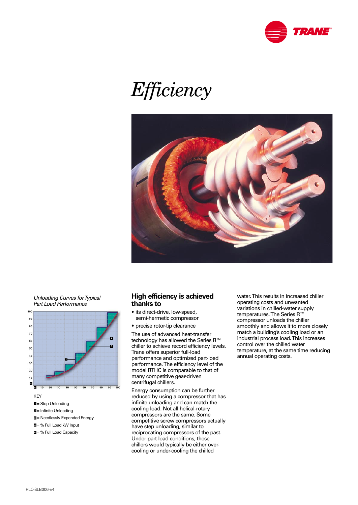

# *Efficiency*



Unloading Curves for Typical Part Load Performance



- = % Full Load kW Input **4**
- **5** = % Full Load Capacity

#### **High efficiency is achieved thanks to**

- its direct-drive, low-speed, semi-hermetic compressor
- precise rotor-tip clearance

The use of advanced heat-transfer technology has allowed the Series R<sup>™</sup> chiller to achieve record efficiency levels. Trane offers superior full-load performance and optimized part-load performance. The efficiency level of the model RTHC is comparable to that of many competitive gear-driven centrifugal chillers.

Energy consumption can be further reduced by using a compressor that has infinite unloading and can match the cooling load. Not all helical-rotary compressors are the same. Some competitive screw compressors actually have step unloading, similar to reciprocating compressors of the past. Under part-load conditions, these chillers would typically be either overcooling or under-cooling the chilled

water. This results in increased chiller operating costs and unwanted variations in chilled-water supply temperatures. The Series R™ compressor unloads the chiller smoothly and allows it to more closely match a building's cooling load or an industrial process load. This increases control over the chilled water temperature, at the same time reducing annual operating costs.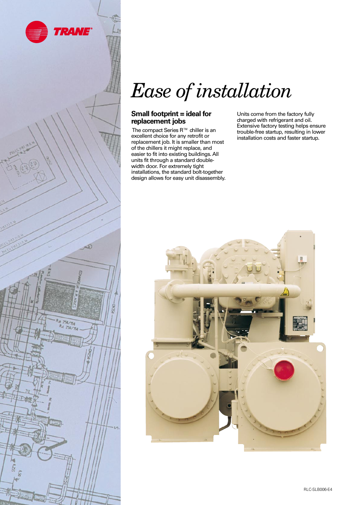

258/154 Re 250/150

ĥ



#### **Small footprint = ideal for replacement jobs**

The compact Series R™ chiller is an excellent choice for any retrofit or replacement job. It is smaller than most of the chillers it might replace, and easier to fit into existing buildings. All units fit through a standard doublewidth door. For extremely tight installations, the standard bolt-together design allows for easy unit disassembly. Units come from the factory fully charged with refrigerant and oil. Extensive factory testing helps ensure trouble-free startup, resulting in lower installation costs and faster startup.

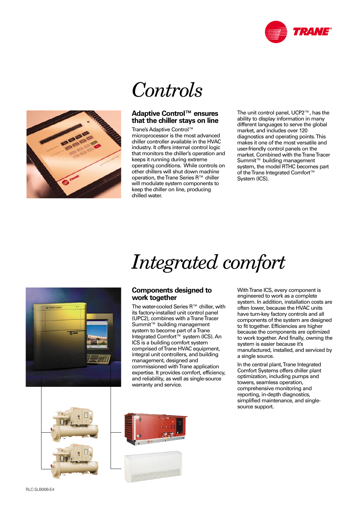



### *Controls*

#### **Adaptive Control™ ensures that the chiller stays on line**

Trane's Adaptive Control™ microprocessor is the most advanced chiller controller available in the HVAC industry. It offers internal control logic that monitors the chiller's operation and keeps it running during extreme operating conditions. While controls on other chillers will shut down machine operation, the Trane Series R™ chiller will modulate system components to keep the chiller on line, producing chilled water.

The unit control panel, UCP2™, has the ability to display information in many different languages to serve the global market, and includes over 120 diagnostics and operating points. This makes it one of the most versatile and user-friendly control panels on the market. Combined with the Trane Tracer Summit™ building management system, the model RTHC becomes part of the Trane Integrated Comfort™ System (ICS).

# *Integrated comfort*



#### **Components designed to work together**

The water-cooled Series R™ chiller, with its factory-installed unit control panel (UPC2), combines with a Trane Tracer Summit™ building management system to become part of a Trane Integrated Comfort™ system (ICS). An ICS is a building comfort system comprised of Trane HVAC equipment, integral unit controllers, and building management, designed and commissioned with Trane application expertise. It provides comfort, efficiency, and reliability, as well as single-source warranty and service.

With Trane ICS, every component is engineered to work as a complete system. In addition, installation costs are often lower, because the HVAC units have turn-key factory controls and all components of the system are designed to fit together. Efficiencies are higher because the components are optimized to work together. And finally, owning the system is easier because it's manufactured, installed, and serviced by a single source.

In the central plant, Trane Integrated Comfort Systems offers chiller plant optimization, including pumps and towers, seamless operation, comprehensive monitoring and reporting, in-depth diagnostics, simplified maintenance, and singlesource support.



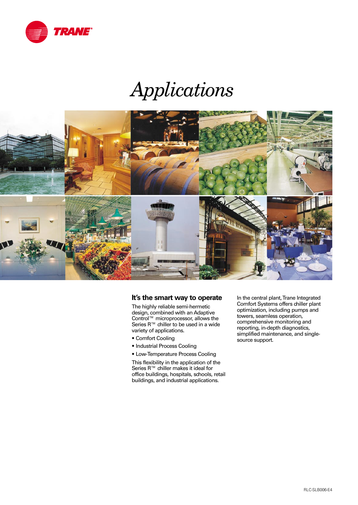

### *Applications*



#### **It's the smart way to operate**

The highly reliable semi-hermetic design, combined with an Adaptive Control™ microprocessor, allows the Series R™ chiller to be used in a wide variety of applications.

- Comfort Cooling
- Industrial Process Cooling
- Low-Temperature Process Cooling

This flexibility in the application of the Series R™ chiller makes it ideal for office buildings, hospitals, schools, retail buildings, and industrial applications.

In the central plant, Trane Integrated Comfort Systems offers chiller plant optimization, including pumps and towers, seamless operation, comprehensive monitoring and reporting, in-depth diagnostics, simplified maintenance, and singlesource support.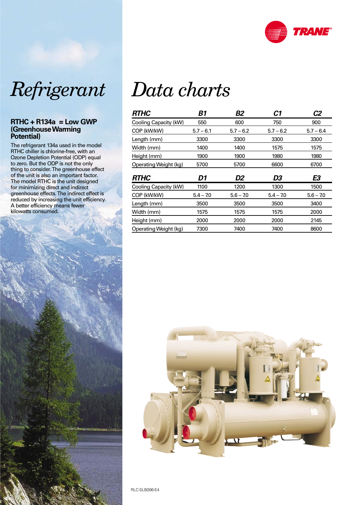



#### **RTHC + R134a = Low GWP (Greenhouse Warming Potential)**

The refrigerant 134a used in the model RTHC chiller is chlorine-free, with an Ozone Depletion Potential (ODP) equal to zero. But the ODP is not the only thing to consider. The greenhouse effect of the unit is also an important factor. The model RTHC is the unit designed for minimizing direct and indirect greenhouse effects. The indirect effect is reduced by increasing the unit efficiency. A better efficiency means fewer



# *Data charts*

| <b>RTHC</b>           | <b>B1</b>   | <b>B2</b>   | C1          | C <sub>2</sub> |
|-----------------------|-------------|-------------|-------------|----------------|
| Cooling Capacity (kW) | 550         | 600         | 750         | 900            |
| COP (kW/kW)           | $5.7 - 6.1$ | $5.7 - 6.2$ | $5.7 - 6.2$ | $5.7 - 6.4$    |
| Length (mm)           | 3300        | 3300        | 3300        | 3300           |
| Width (mm)            | 1400        | 1400        | 1575        | 1575           |
| Height (mm)           | 1900        | 1900        | 1980        | 1980           |
| Operating Weight (kg) | 5700        | 5700        | 6600        | 6700           |
|                       |             |             |             |                |
| <b>RTHC</b>           | D1          | D2          | D3          | E3             |
| Cooling Capacity (kW) | 1100        | 1200        | 1300        | 1500           |
| COP (kW/kW)           | $5.4 - 7.0$ | $5.6 - 7.0$ | $5.4 - 7.0$ | $5.6 - 7.0$    |
| Length (mm)           | 3500        | 3500        | 3500        | 3400           |
| Width (mm)            | 1575        | 1575        | 1575        | 2000           |
| Height (mm)           | 2000        | 2000        | 2000        | 2145           |



RLC-SLB006-E4